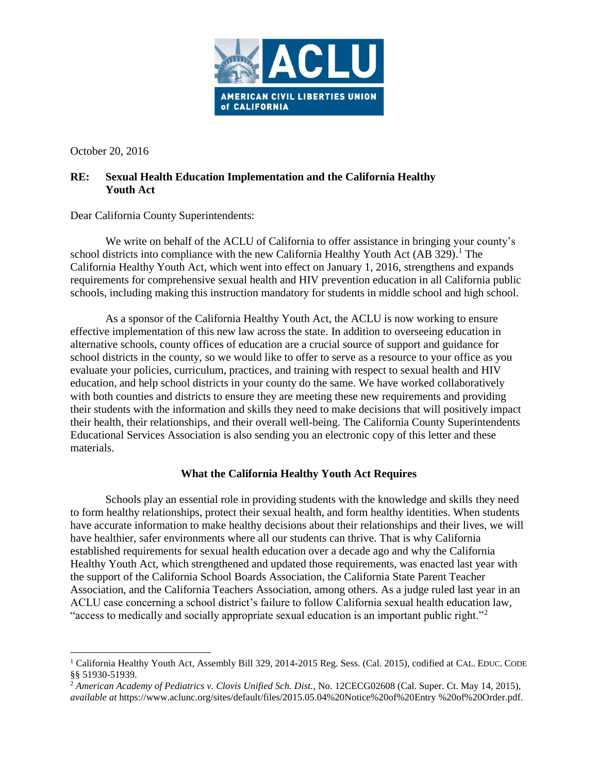

October 20, 2016

 $\overline{\phantom{a}}$ 

## **RE: Sexual Health Education Implementation and the California Healthy Youth Act**

Dear California County Superintendents:

We write on behalf of the ACLU of California to offer assistance in bringing your county's school districts into compliance with the new California Healthy Youth Act (AB 329).<sup>1</sup> The California Healthy Youth Act, which went into effect on January 1, 2016, strengthens and expands requirements for comprehensive sexual health and HIV prevention education in all California public schools, including making this instruction mandatory for students in middle school and high school.

As a sponsor of the California Healthy Youth Act, the ACLU is now working to ensure effective implementation of this new law across the state. In addition to overseeing education in alternative schools, county offices of education are a crucial source of support and guidance for school districts in the county, so we would like to offer to serve as a resource to your office as you evaluate your policies, curriculum, practices, and training with respect to sexual health and HIV education, and help school districts in your county do the same. We have worked collaboratively with both counties and districts to ensure they are meeting these new requirements and providing their students with the information and skills they need to make decisions that will positively impact their health, their relationships, and their overall well-being. The California County Superintendents Educational Services Association is also sending you an electronic copy of this letter and these materials.

## **What the California Healthy Youth Act Requires**

Schools play an essential role in providing students with the knowledge and skills they need to form healthy relationships, protect their sexual health, and form healthy identities. When students have accurate information to make healthy decisions about their relationships and their lives, we will have healthier, safer environments where all our students can thrive. That is why California established requirements for sexual health education over a decade ago and why the California Healthy Youth Act, which strengthened and updated those requirements, was enacted last year with the support of the California School Boards Association, the California State Parent Teacher Association, and the California Teachers Association, among others. As a judge ruled last year in an ACLU case concerning a school district's failure to follow California sexual health education law, "access to medically and socially appropriate sexual education is an important public right."<sup>2</sup>

<sup>&</sup>lt;sup>1</sup> California Healthy Youth Act, Assembly Bill 329, 2014-2015 Reg. Sess. (Cal. 2015), codified at CAL. EDUC. CODE §§ 51930-51939.

<sup>2</sup> *American Academy of Pediatrics v. Clovis Unified Sch. Dist.*, No. 12CECG02608 (Cal. Super. Ct. May 14, 2015), *available at* https://www.aclunc.org/sites/default/files/2015.05.04%20Notice%20of%20Entry %20of%20Order.pdf.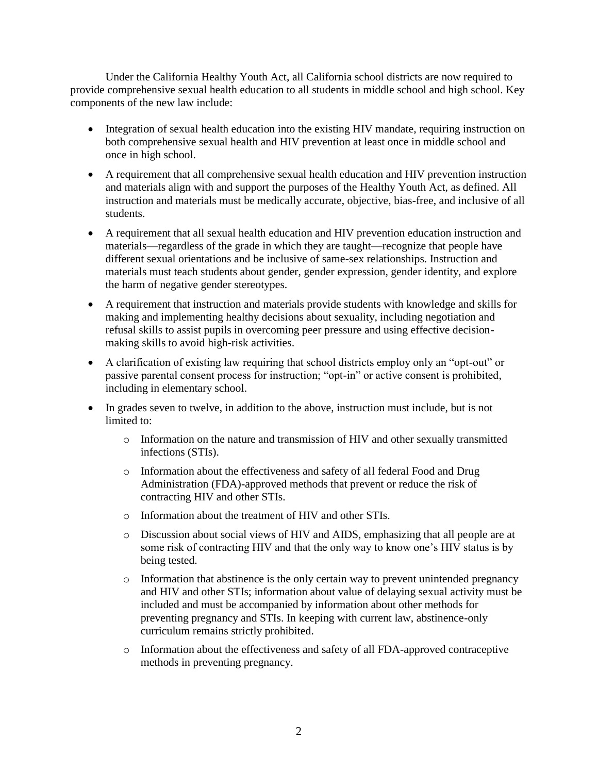Under the California Healthy Youth Act, all California school districts are now required to provide comprehensive sexual health education to all students in middle school and high school. Key components of the new law include:

- Integration of sexual health education into the existing HIV mandate, requiring instruction on both comprehensive sexual health and HIV prevention at least once in middle school and once in high school.
- A requirement that all comprehensive sexual health education and HIV prevention instruction and materials align with and support the purposes of the Healthy Youth Act, as defined. All instruction and materials must be medically accurate, objective, bias-free, and inclusive of all students.
- A requirement that all sexual health education and HIV prevention education instruction and materials—regardless of the grade in which they are taught—recognize that people have different sexual orientations and be inclusive of same-sex relationships. Instruction and materials must teach students about gender, gender expression, gender identity, and explore the harm of negative gender stereotypes.
- A requirement that instruction and materials provide students with knowledge and skills for making and implementing healthy decisions about sexuality, including negotiation and refusal skills to assist pupils in overcoming peer pressure and using effective decisionmaking skills to avoid high-risk activities.
- A clarification of existing law requiring that school districts employ only an "opt-out" or passive parental consent process for instruction; "opt-in" or active consent is prohibited, including in elementary school.
- In grades seven to twelve, in addition to the above, instruction must include, but is not limited to:
	- $\circ$  Information on the nature and transmission of HIV and other sexually transmitted infections (STIs).
	- o Information about the effectiveness and safety of all federal Food and Drug Administration (FDA)-approved methods that prevent or reduce the risk of contracting HIV and other STIs.
	- o Information about the treatment of HIV and other STIs.
	- o Discussion about social views of HIV and AIDS, emphasizing that all people are at some risk of contracting HIV and that the only way to know one's HIV status is by being tested.
	- o Information that abstinence is the only certain way to prevent unintended pregnancy and HIV and other STIs; information about value of delaying sexual activity must be included and must be accompanied by information about other methods for preventing pregnancy and STIs. In keeping with current law, abstinence-only curriculum remains strictly prohibited.
	- o Information about the effectiveness and safety of all FDA-approved contraceptive methods in preventing pregnancy.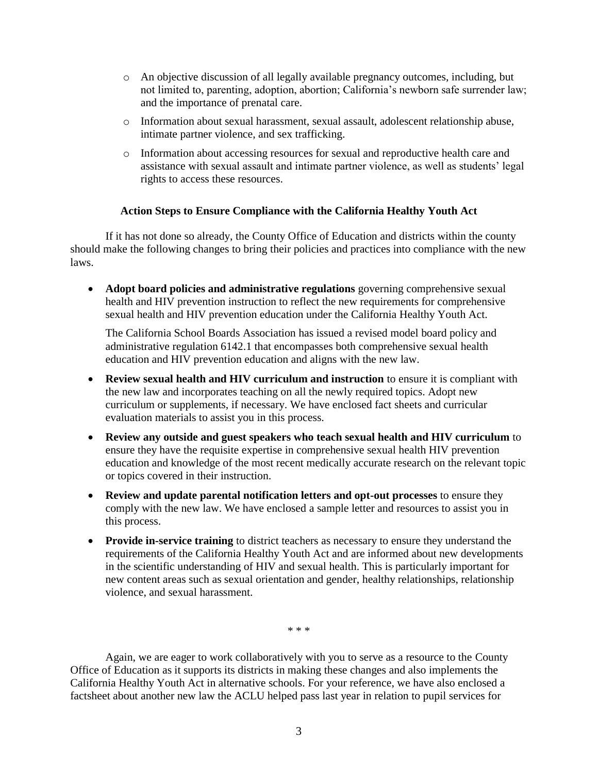- o An objective discussion of all legally available pregnancy outcomes, including, but not limited to, parenting, adoption, abortion; California's newborn safe surrender law; and the importance of prenatal care.
- o Information about sexual harassment, sexual assault, adolescent relationship abuse, intimate partner violence, and sex trafficking.
- o Information about accessing resources for sexual and reproductive health care and assistance with sexual assault and intimate partner violence, as well as students' legal rights to access these resources.

## **Action Steps to Ensure Compliance with the California Healthy Youth Act**

If it has not done so already, the County Office of Education and districts within the county should make the following changes to bring their policies and practices into compliance with the new laws.

**• Adopt board policies and administrative regulations** governing comprehensive sexual health and HIV prevention instruction to reflect the new requirements for comprehensive sexual health and HIV prevention education under the California Healthy Youth Act.

The California School Boards Association has issued a revised model board policy and administrative regulation 6142.1 that encompasses both comprehensive sexual health education and HIV prevention education and aligns with the new law.

- **Review sexual health and HIV curriculum and instruction** to ensure it is compliant with the new law and incorporates teaching on all the newly required topics. Adopt new curriculum or supplements, if necessary. We have enclosed fact sheets and curricular evaluation materials to assist you in this process.
- **Review any outside and guest speakers who teach sexual health and HIV curriculum** to ensure they have the requisite expertise in comprehensive sexual health HIV prevention education and knowledge of the most recent medically accurate research on the relevant topic or topics covered in their instruction.
- **Review and update parental notification letters and opt-out processes** to ensure they comply with the new law. We have enclosed a sample letter and resources to assist you in this process.
- **Provide in-service training** to district teachers as necessary to ensure they understand the requirements of the California Healthy Youth Act and are informed about new developments in the scientific understanding of HIV and sexual health. This is particularly important for new content areas such as sexual orientation and gender, healthy relationships, relationship violence, and sexual harassment.

\* \* \*

Again, we are eager to work collaboratively with you to serve as a resource to the County Office of Education as it supports its districts in making these changes and also implements the California Healthy Youth Act in alternative schools. For your reference, we have also enclosed a factsheet about another new law the ACLU helped pass last year in relation to pupil services for